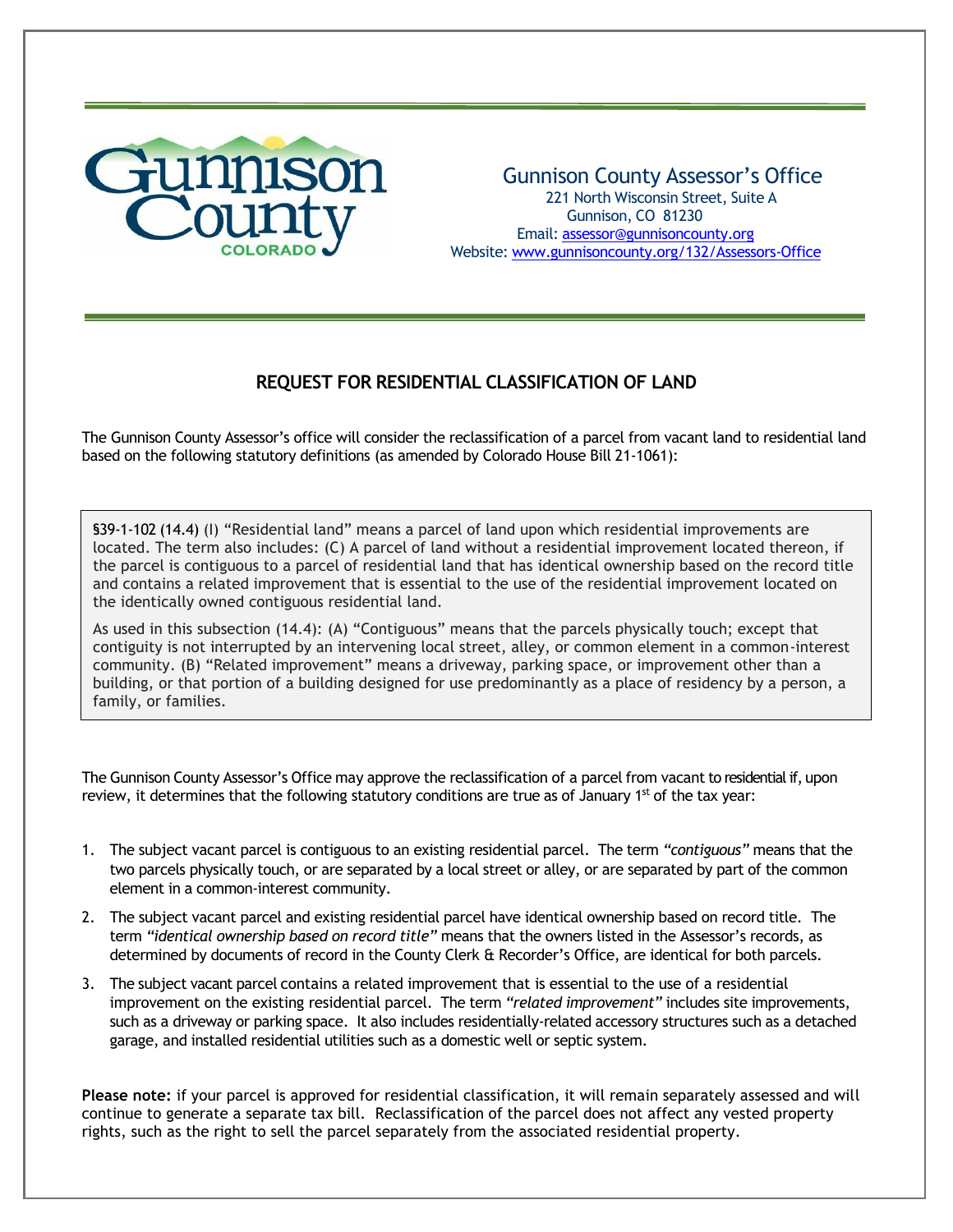

## Gunnison County Assessor's Office 221 North Wisconsin Street, Suite A Gunnison, CO 81230 Email: [assessor@gunnisoncounty.org](mailto:assessor@gunnisoncounty.org) Website: [www.gunnisoncounty.org/132/Assessors-Office](http://www.gunnisoncounty.org/132/Assessors-Office)

# **REQUEST FOR RESIDENTIAL CLASSIFICATION OF LAND**

The Gunnison County Assessor's office will consider the reclassification of a parcel from vacant land to residential land based on the following statutory definitions (as amended by Colorado House Bill 21-1061):

§39-1-102 (14.4) (I) "Residential land" means a parcel of land upon which residential improvements are located. The term also includes: (C) A parcel of land without a residential improvement located thereon, if the parcel is contiguous to a parcel of residential land that has identical ownership based on the record title and contains a related improvement that is essential to the use of the residential improvement located on the identically owned contiguous residential land.

As used in this subsection (14.4): (A) "Contiguous" means that the parcels physically touch; except that contiguity is not interrupted by an intervening local street, alley, or common element in a common-interest community. (B) "Related improvement" means a driveway, parking space, or improvement other than a building, or that portion of a building designed for use predominantly as a place of residency by a person, a family, or families.

The Gunnison County Assessor's Office may approve the reclassification of a parcel from vacant to residential if, upon review, it determines that the following statutory conditions are true as of January 1<sup>st</sup> of the tax year:

- 1. The subject vacant parcel is contiguous to an existing residential parcel. The term *"contiguous"* means that the two parcels physically touch, or are separated by a local street or alley, or are separated by part of the common element in a common-interest community.
- 2. The subject vacant parcel and existing residential parcel have identical ownership based on record title. The term *"identical ownership based on record title"* means that the owners listed in the Assessor's records, as determined by documents of record in the County Clerk & Recorder's Office, are identical for both parcels.
- 3. The subject vacant parcel contains a related improvement that is essential to the use of a residential improvement on the existing residential parcel. The term *"related improvement"* includes site improvements, such as a driveway or parking space. It also includes residentially-related accessory structures such as a detached garage, and installed residential utilities such as a domestic well or septic system.

**Please note:** if your parcel is approved for residential classification, it will remain separately assessed and will continue to generate a separate tax bill. Reclassification of the parcel does not affect any vested property rights, such as the right to sell the parcel separately from the associated residential property.